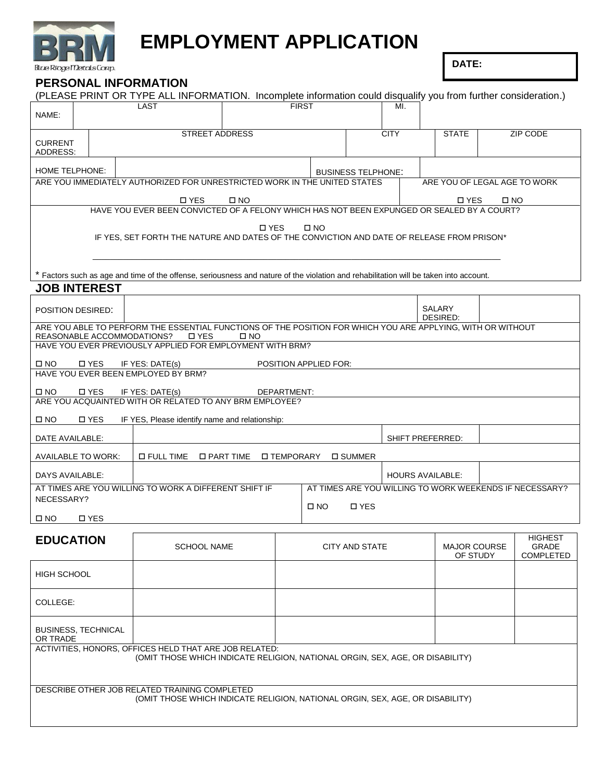

# **EMPLOYMENT APPLICATION**

**DATE:**

## **PERSONAL INFORMATION**

|                                                                                                                                      |                                                | (PLEASE PRINT OR TYPE ALL INFORMATION. Incomplete information could disqualify you from further consideration.)                       |                                   |                              |                           |          |                                                         |  |              |
|--------------------------------------------------------------------------------------------------------------------------------------|------------------------------------------------|---------------------------------------------------------------------------------------------------------------------------------------|-----------------------------------|------------------------------|---------------------------|----------|---------------------------------------------------------|--|--------------|
| NAME:                                                                                                                                |                                                | <b>LAST</b>                                                                                                                           | <b>FIRST</b><br>MI.               |                              |                           |          |                                                         |  |              |
|                                                                                                                                      |                                                |                                                                                                                                       |                                   |                              |                           |          |                                                         |  |              |
|                                                                                                                                      |                                                | <b>STREET ADDRESS</b>                                                                                                                 | <b>CITY</b>                       | <b>STATE</b>                 |                           | ZIP CODE |                                                         |  |              |
| <b>CURRENT</b>                                                                                                                       |                                                |                                                                                                                                       |                                   |                              |                           |          |                                                         |  |              |
| ADDRESS:                                                                                                                             |                                                |                                                                                                                                       |                                   |                              |                           |          |                                                         |  |              |
| HOME TELPHONE:                                                                                                                       |                                                |                                                                                                                                       |                                   |                              | <b>BUSINESS TELPHONE:</b> |          |                                                         |  |              |
|                                                                                                                                      |                                                | ARE YOU IMMEDIATELY AUTHORIZED FOR UNRESTRICTED WORK IN THE UNITED STATES                                                             |                                   |                              |                           |          | ARE YOU OF LEGAL AGE TO WORK                            |  |              |
|                                                                                                                                      |                                                |                                                                                                                                       |                                   |                              |                           |          |                                                         |  |              |
| □ YES<br>$\square$ NO<br>□ YES<br>□ NO<br>HAVE YOU EVER BEEN CONVICTED OF A FELONY WHICH HAS NOT BEEN EXPUNGED OR SEALED BY A COURT? |                                                |                                                                                                                                       |                                   |                              |                           |          |                                                         |  |              |
|                                                                                                                                      |                                                |                                                                                                                                       |                                   |                              |                           |          |                                                         |  |              |
|                                                                                                                                      |                                                | IF YES, SET FORTH THE NATURE AND DATES OF THE CONVICTION AND DATE OF RELEASE FROM PRISON*                                             | <b>D</b> YES                      | $\square$ NO                 |                           |          |                                                         |  |              |
|                                                                                                                                      |                                                |                                                                                                                                       |                                   |                              |                           |          |                                                         |  |              |
|                                                                                                                                      |                                                |                                                                                                                                       |                                   |                              |                           |          |                                                         |  |              |
|                                                                                                                                      |                                                |                                                                                                                                       |                                   |                              |                           |          |                                                         |  |              |
|                                                                                                                                      |                                                | * Factors such as age and time of the offense, seriousness and nature of the violation and rehabilitation will be taken into account. |                                   |                              |                           |          |                                                         |  |              |
|                                                                                                                                      | <b>JOB INTEREST</b>                            |                                                                                                                                       |                                   |                              |                           |          |                                                         |  |              |
| POSITION DESIRED:                                                                                                                    |                                                |                                                                                                                                       |                                   |                              |                           |          | SALARY                                                  |  |              |
|                                                                                                                                      |                                                |                                                                                                                                       |                                   |                              |                           |          | DESIRED:                                                |  |              |
|                                                                                                                                      |                                                | ARE YOU ABLE TO PERFORM THE ESSENTIAL FUNCTIONS OF THE POSITION FOR WHICH YOU ARE APPLYING, WITH OR WITHOUT                           |                                   |                              |                           |          |                                                         |  |              |
|                                                                                                                                      |                                                | REASONABLE ACCOMMODATIONS?<br>□ YES<br>HAVE YOU EVER PREVIOUSLY APPLIED FOR EMPLOYMENT WITH BRM?                                      | $\square$ NO                      |                              |                           |          |                                                         |  |              |
|                                                                                                                                      |                                                |                                                                                                                                       |                                   |                              |                           |          |                                                         |  |              |
| □ NO                                                                                                                                 | □ YES                                          | IF YES: DATE(s)                                                                                                                       |                                   | <b>POSITION APPLIED FOR:</b> |                           |          |                                                         |  |              |
|                                                                                                                                      |                                                | HAVE YOU EVER BEEN EMPLOYED BY BRM?                                                                                                   |                                   |                              |                           |          |                                                         |  |              |
| $\square$ NO                                                                                                                         | □ YES                                          | IF YES: DATE(s)                                                                                                                       | DEPARTMENT:                       |                              |                           |          |                                                         |  |              |
|                                                                                                                                      |                                                | ARE YOU ACQUAINTED WITH OR RELATED TO ANY BRM EMPLOYEE?                                                                               |                                   |                              |                           |          |                                                         |  |              |
| □ NO                                                                                                                                 | □ YES                                          |                                                                                                                                       |                                   |                              |                           |          |                                                         |  |              |
|                                                                                                                                      | IF YES, Please identify name and relationship: |                                                                                                                                       |                                   |                              |                           |          |                                                         |  |              |
| SHIFT PREFERRED:<br>DATE AVAILABLE:                                                                                                  |                                                |                                                                                                                                       |                                   |                              |                           |          |                                                         |  |              |
| <b>AVAILABLE TO WORK:</b>                                                                                                            |                                                | □ FULL TIME                                                                                                                           | □ PART TIME<br><b>I TEMPORARY</b> |                              | □ SUMMER                  |          |                                                         |  |              |
| DAYS AVAILABLE:                                                                                                                      |                                                |                                                                                                                                       |                                   |                              |                           |          | <b>HOURS AVAILABLE:</b>                                 |  |              |
|                                                                                                                                      |                                                | AT TIMES ARE YOU WILLING TO WORK A DIFFERENT SHIFT IF                                                                                 |                                   |                              |                           |          | AT TIMES ARE YOU WILLING TO WORK WEEKENDS IF NECESSARY? |  |              |
| NECESSARY?                                                                                                                           |                                                |                                                                                                                                       |                                   |                              |                           |          |                                                         |  |              |
|                                                                                                                                      |                                                |                                                                                                                                       |                                   | $\square$ NO                 | □ YES                     |          |                                                         |  |              |
| $\square$ NO                                                                                                                         | □ YES                                          |                                                                                                                                       |                                   |                              |                           |          |                                                         |  |              |
|                                                                                                                                      |                                                |                                                                                                                                       |                                   |                              |                           |          |                                                         |  | HIGHEST      |
| <b>EDUCATION</b>                                                                                                                     |                                                | <b>SCHOOL NAME</b>                                                                                                                    |                                   |                              | CITY AND STATE            |          | <b>MAJOR COURSE</b>                                     |  | <b>GRADE</b> |
|                                                                                                                                      |                                                |                                                                                                                                       |                                   |                              |                           |          | OF STUDY                                                |  | COMPLETED    |
| <b>HIGH SCHOOL</b>                                                                                                                   |                                                |                                                                                                                                       |                                   |                              |                           |          |                                                         |  |              |
|                                                                                                                                      |                                                |                                                                                                                                       |                                   |                              |                           |          |                                                         |  |              |
|                                                                                                                                      |                                                |                                                                                                                                       |                                   |                              |                           |          |                                                         |  |              |
| COLLEGE:                                                                                                                             |                                                |                                                                                                                                       |                                   |                              |                           |          |                                                         |  |              |
|                                                                                                                                      |                                                |                                                                                                                                       |                                   |                              |                           |          |                                                         |  |              |
| <b>BUSINESS, TECHNICAL</b>                                                                                                           |                                                |                                                                                                                                       |                                   |                              |                           |          |                                                         |  |              |
| OR TRADE<br>ACTIVITIES, HONORS, OFFICES HELD THAT ARE JOB RELATED:                                                                   |                                                |                                                                                                                                       |                                   |                              |                           |          |                                                         |  |              |
| (OMIT THOSE WHICH INDICATE RELIGION, NATIONAL ORGIN, SEX, AGE, OR DISABILITY)                                                        |                                                |                                                                                                                                       |                                   |                              |                           |          |                                                         |  |              |
|                                                                                                                                      |                                                |                                                                                                                                       |                                   |                              |                           |          |                                                         |  |              |
|                                                                                                                                      |                                                |                                                                                                                                       |                                   |                              |                           |          |                                                         |  |              |
|                                                                                                                                      |                                                | DESCRIBE OTHER JOB RELATED TRAINING COMPLETED                                                                                         |                                   |                              |                           |          |                                                         |  |              |
|                                                                                                                                      |                                                | (OMIT THOSE WHICH INDICATE RELIGION, NATIONAL ORGIN, SEX, AGE, OR DISABILITY)                                                         |                                   |                              |                           |          |                                                         |  |              |
|                                                                                                                                      |                                                |                                                                                                                                       |                                   |                              |                           |          |                                                         |  |              |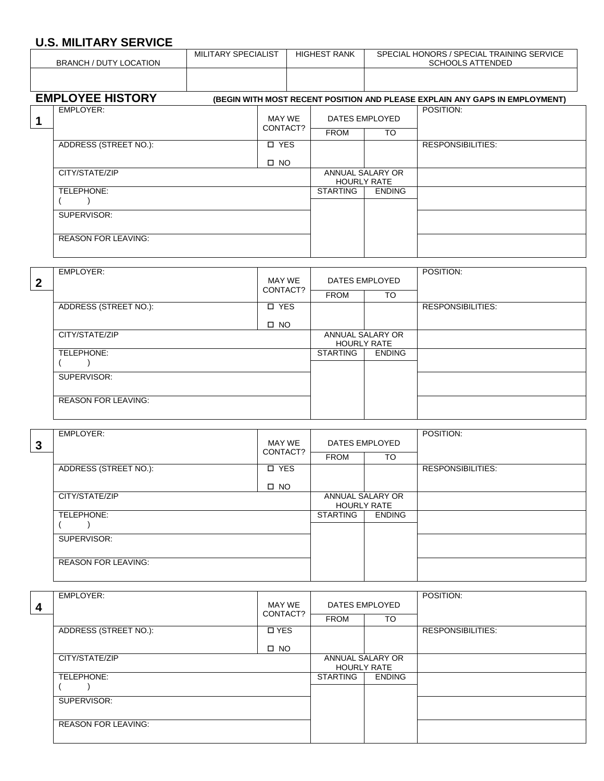# **U.S. MILITARY SERVICE**

| םטו ישבי ורחות ובחוז ישב<br><b>BRANCH / DUTY LOCATION</b> |                              | MILITARY SPECIALIST |                    | <b>HIGHEST RANK</b> |                                               | SPECIAL HONORS / SPECIAL TRAINING SERVICE<br><b>SCHOOLS ATTENDED</b> |                                                                             |  |
|-----------------------------------------------------------|------------------------------|---------------------|--------------------|---------------------|-----------------------------------------------|----------------------------------------------------------------------|-----------------------------------------------------------------------------|--|
|                                                           |                              |                     |                    |                     |                                               |                                                                      |                                                                             |  |
|                                                           | <b>EMPLOYEE HISTORY</b>      |                     |                    |                     |                                               |                                                                      | (BEGIN WITH MOST RECENT POSITION AND PLEASE EXPLAIN ANY GAPS IN EMPLOYMENT) |  |
| 1                                                         | <b>EMPLOYER:</b>             |                     | MAY WE<br>CONTACT? |                     | DATES EMPLOYED                                |                                                                      | POSITION:                                                                   |  |
|                                                           |                              |                     |                    |                     | <b>FROM</b>                                   | $\overline{10}$                                                      |                                                                             |  |
|                                                           | <b>ADDRESS (STREET NO.):</b> |                     | $\square$ YES      |                     |                                               |                                                                      | <b>RESPONSIBILITIES:</b>                                                    |  |
|                                                           |                              |                     | $\square$ NO       |                     |                                               |                                                                      |                                                                             |  |
|                                                           | CITY/STATE/ZIP               |                     |                    |                     | <b>HOURLY RATE</b>                            | ANNUAL SALARY OR                                                     |                                                                             |  |
|                                                           | TELEPHONE:                   |                     |                    |                     | <b>STARTING</b>                               | <b>ENDING</b>                                                        |                                                                             |  |
|                                                           |                              |                     |                    |                     |                                               |                                                                      |                                                                             |  |
|                                                           | SUPERVISOR:                  |                     |                    |                     |                                               |                                                                      |                                                                             |  |
|                                                           | <b>REASON FOR LEAVING:</b>   |                     |                    |                     |                                               |                                                                      |                                                                             |  |
|                                                           |                              |                     |                    |                     |                                               |                                                                      |                                                                             |  |
| $\overline{2}$                                            | <b>EMPLOYER:</b>             | MAY WE              |                    |                     | <b>DATES EMPLOYED</b>                         |                                                                      | POSITION:                                                                   |  |
|                                                           |                              |                     | CONTACT?           |                     | <b>FROM</b>                                   | <b>TO</b>                                                            |                                                                             |  |
|                                                           | ADDRESS (STREET NO.):        |                     | <b>D</b> YES       |                     |                                               |                                                                      | <b>RESPONSIBILITIES:</b>                                                    |  |
|                                                           |                              |                     | $\square$ NO       |                     |                                               |                                                                      |                                                                             |  |
|                                                           | CITY/STATE/ZIP               |                     |                    |                     | <b>ANNUAL SALARY OR</b><br><b>HOURLY RATE</b> |                                                                      |                                                                             |  |
|                                                           | TELEPHONE:                   |                     |                    |                     | <b>STARTING</b>                               | <b>ENDING</b>                                                        |                                                                             |  |
|                                                           | SUPERVISOR:                  |                     |                    |                     |                                               |                                                                      |                                                                             |  |
|                                                           | <b>REASON FOR LEAVING:</b>   |                     |                    |                     |                                               |                                                                      |                                                                             |  |

| 3 | EMPLOYER:                  | MAY WE       |                    | DATES EMPLOYED   | POSITION:                |
|---|----------------------------|--------------|--------------------|------------------|--------------------------|
|   |                            | CONTACT?     | <b>FROM</b>        | TO               |                          |
|   | ADDRESS (STREET NO.):      | <b>D</b> YES |                    |                  | <b>RESPONSIBILITIES:</b> |
|   |                            | $\Box$ NO    |                    |                  |                          |
|   | CITY/STATE/ZIP             |              | <b>HOURLY RATE</b> | ANNUAL SALARY OR |                          |
|   | TELEPHONE:                 |              | <b>STARTING</b>    | <b>ENDING</b>    |                          |
|   | SUPERVISOR:                |              |                    |                  |                          |
|   | <b>REASON FOR LEAVING:</b> |              |                    |                  |                          |

|   | EMPLOYER:                  |                    |                 |                    | POSITION:                |  |  |
|---|----------------------------|--------------------|-----------------|--------------------|--------------------------|--|--|
| 4 |                            | MAY WE<br>CONTACT? | DATES EMPLOYED  |                    |                          |  |  |
|   |                            |                    | <b>FROM</b>     | TO                 |                          |  |  |
|   | ADDRESS (STREET NO.):      | <b>DYES</b>        |                 |                    | <b>RESPONSIBILITIES:</b> |  |  |
|   |                            | $\square$ NO       |                 |                    |                          |  |  |
|   | CITY/STATE/ZIP             |                    |                 | ANNUAL SALARY OR   |                          |  |  |
|   |                            |                    |                 | <b>HOURLY RATE</b> |                          |  |  |
|   | TELEPHONE:                 |                    | <b>STARTING</b> | <b>ENDING</b>      |                          |  |  |
|   |                            |                    |                 |                    |                          |  |  |
|   | SUPERVISOR:                |                    |                 |                    |                          |  |  |
|   |                            |                    |                 |                    |                          |  |  |
|   | <b>REASON FOR LEAVING:</b> |                    |                 |                    |                          |  |  |
|   |                            |                    |                 |                    |                          |  |  |
|   |                            |                    |                 |                    |                          |  |  |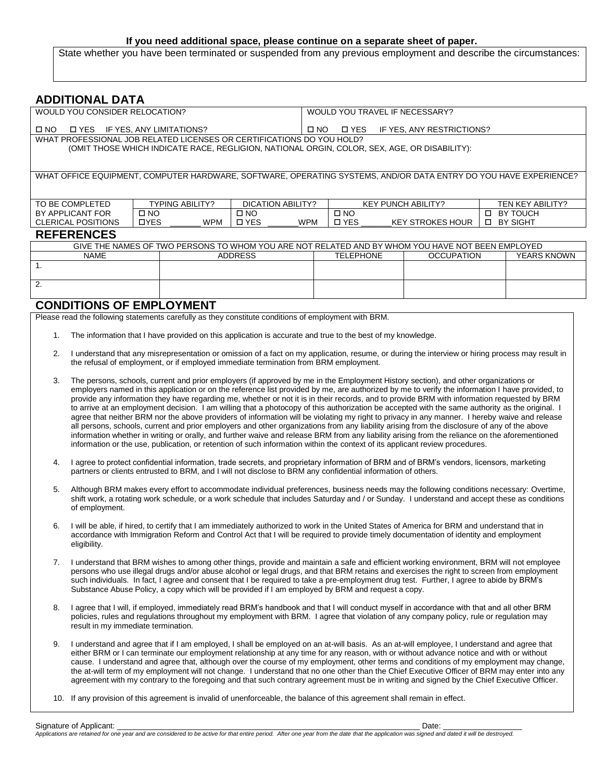#### **If you need additional space, please continue on a separate sheet of paper.**

State whether you have been terminated or suspended from any previous employment and describe the circumstances:

| <b>ADDITIONAL DATA</b>                                                                                           |                                                                             |                        |                   |                  |                                                          |                   |                                                                                              |             |                         |
|------------------------------------------------------------------------------------------------------------------|-----------------------------------------------------------------------------|------------------------|-------------------|------------------|----------------------------------------------------------|-------------------|----------------------------------------------------------------------------------------------|-------------|-------------------------|
| WOULD YOU CONSIDER RELOCATION?<br>WOULD YOU TRAVEL IF NECESSARY?                                                 |                                                                             |                        |                   |                  |                                                          |                   |                                                                                              |             |                         |
| □ YES<br>$\Box$ NO                                                                                               | IF YES, ANY LIMITATIONS?<br>IF YES, ANY RESTRICTIONS?<br>$\Box$ NO<br>□ YES |                        |                   |                  |                                                          |                   |                                                                                              |             |                         |
| WHAT PROFESSIONAL JOB RELATED LICENSES OR CERTIFICATIONS DO YOU HOLD?                                            |                                                                             |                        |                   |                  |                                                          |                   |                                                                                              |             |                         |
|                                                                                                                  |                                                                             |                        |                   |                  |                                                          |                   | (OMIT THOSE WHICH INDICATE RACE, REGLIGION, NATIONAL ORGIN, COLOR, SEX, AGE, OR DISABILITY): |             |                         |
|                                                                                                                  |                                                                             |                        |                   |                  |                                                          |                   |                                                                                              |             |                         |
| WHAT OFFICE EQUIPMENT, COMPUTER HARDWARE, SOFTWARE, OPERATING SYSTEMS, AND/OR DATA ENTRY DO YOU HAVE EXPERIENCE? |                                                                             |                        |                   |                  |                                                          |                   |                                                                                              |             |                         |
|                                                                                                                  |                                                                             |                        |                   |                  |                                                          |                   |                                                                                              |             |                         |
| TO BE COMPLETED                                                                                                  |                                                                             | <b>TYPING ABILITY?</b> | DICATION ABILITY? |                  |                                                          |                   | <b>KEY PUNCH ABILITY?</b>                                                                    |             | <b>TEN KEY ABILITY?</b> |
| BY APPLICANT FOR                                                                                                 | $\square$ NO                                                                |                        | $\square$ NO      |                  | $\Box$ NO                                                |                   |                                                                                              | П           | BY TOUCH                |
| <b>CLERICAL POSITIONS</b>                                                                                        | <b>OYES</b>                                                                 | <b>WPM</b>             | □ YES             | <b>WPM</b>       | □ YES<br><b>BY SIGHT</b><br><b>KEY STROKES HOUR</b><br>□ |                   |                                                                                              |             |                         |
| <b>REFERENCES</b>                                                                                                |                                                                             |                        |                   |                  |                                                          |                   |                                                                                              |             |                         |
| GIVE THE NAMES OF TWO PERSONS TO WHOM YOU ARE NOT RELATED AND BY WHOM YOU HAVE NOT BEEN EMPLOYED                 |                                                                             |                        |                   |                  |                                                          |                   |                                                                                              |             |                         |
| NAME<br><b>ADDRESS</b>                                                                                           |                                                                             |                        |                   | <b>TELEPHONE</b> |                                                          | <b>OCCUPATION</b> |                                                                                              | YEARS KNOWN |                         |
|                                                                                                                  |                                                                             |                        |                   |                  |                                                          |                   |                                                                                              |             |                         |
|                                                                                                                  |                                                                             |                        |                   |                  |                                                          |                   |                                                                                              |             |                         |

#### **CONDITIONS OF EMPLOYMENT**

2.

Please read the following statements carefully as they constitute conditions of employment with BRM.

- 1. The information that I have provided on this application is accurate and true to the best of my knowledge.
- 2. I understand that any misrepresentation or omission of a fact on my application, resume, or during the interview or hiring process may result in the refusal of employment, or if employed immediate termination from BRM employment.
- 3. The persons, schools, current and prior employers (if approved by me in the Employment History section), and other organizations or employers named in this application or on the reference list provided by me, are authorized by me to verify the information I have provided, to provide any information they have regarding me, whether or not it is in their records, and to provide BRM with information requested by BRM to arrive at an employment decision. I am willing that a photocopy of this authorization be accepted with the same authority as the original. I agree that neither BRM nor the above providers of information will be violating my right to privacy in any manner. I hereby waive and release all persons, schools, current and prior employers and other organizations from any liability arising from the disclosure of any of the above information whether in writing or orally, and further waive and release BRM from any liability arising from the reliance on the aforementioned information or the use, publication, or retention of such information within the context of its applicant review procedures.
- 4. I agree to protect confidential information, trade secrets, and proprietary information of BRM and of BRM's vendors, licensors, marketing partners or clients entrusted to BRM, and I will not disclose to BRM any confidential information of others.
- 5. Although BRM makes every effort to accommodate individual preferences, business needs may the following conditions necessary: Overtime, shift work, a rotating work schedule, or a work schedule that includes Saturday and / or Sunday. I understand and accept these as conditions of employment.
- 6. I will be able, if hired, to certify that I am immediately authorized to work in the United States of America for BRM and understand that in accordance with Immigration Reform and Control Act that I will be required to provide timely documentation of identity and employment eligibility.
- 7. I understand that BRM wishes to among other things, provide and maintain a safe and efficient working environment, BRM will not employee persons who use illegal drugs and/or abuse alcohol or legal drugs, and that BRM retains and exercises the right to screen from employment such individuals. In fact, I agree and consent that I be required to take a pre-employment drug test. Further, I agree to abide by BRM's Substance Abuse Policy, a copy which will be provided if I am employed by BRM and request a copy.
- 8. I agree that I will, if employed, immediately read BRM's handbook and that I will conduct myself in accordance with that and all other BRM policies, rules and regulations throughout my employment with BRM. I agree that violation of any company policy, rule or regulation may result in my immediate termination.
- 9. I understand and agree that if I am employed, I shall be employed on an at-will basis. As an at-will employee, I understand and agree that either BRM or I can terminate our employment relationship at any time for any reason, with or without advance notice and with or without cause. I understand and agree that, although over the course of my employment, other terms and conditions of my employment may change, the at-will term of my employment will not change. I understand that no one other than the Chief Executive Officer of BRM may enter into any agreement with my contrary to the foregoing and that such contrary agreement must be in writing and signed by the Chief Executive Officer.
- 10. If any provision of this agreement is invalid of unenforceable, the balance of this agreement shall remain in effect.